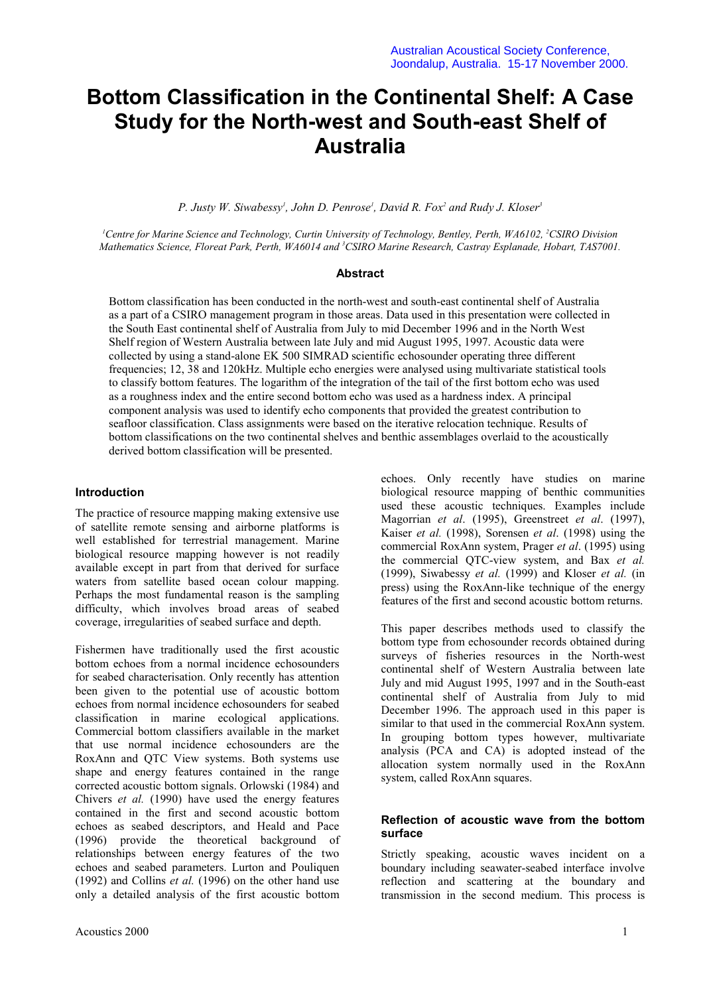# **Bottom Classification in the Continental Shelf: A Case Study for the North-west and South-east Shelf of Australia**

P. Justy W. Siwabessy<sup>1</sup>, John D. Penrose<sup>1</sup>, David R. Fox<sup>2</sup> and Rudy J. Kloser<sup>3</sup>

*1 Centre for Marine Science and Technology, Curtin University of Technology, Bentley, Perth, WA6102, 2 CSIRO Division Mathematics Science, Floreat Park, Perth, WA6014 and 3 CSIRO Marine Research, Castray Esplanade, Hobart, TAS7001.*

## **Abstract**

Bottom classification has been conducted in the north-west and south-east continental shelf of Australia as a part of a CSIRO management program in those areas. Data used in this presentation were collected in the South East continental shelf of Australia from July to mid December 1996 and in the North West Shelf region of Western Australia between late July and mid August 1995, 1997. Acoustic data were collected by using a stand-alone EK 500 SIMRAD scientific echosounder operating three different frequencies; 12, 38 and 120kHz. Multiple echo energies were analysed using multivariate statistical tools to classify bottom features. The logarithm of the integration of the tail of the first bottom echo was used as a roughness index and the entire second bottom echo was used as a hardness index. A principal component analysis was used to identify echo components that provided the greatest contribution to seafloor classification. Class assignments were based on the iterative relocation technique. Results of bottom classifications on the two continental shelves and benthic assemblages overlaid to the acoustically derived bottom classification will be presented.

### **Introduction**

The practice of resource mapping making extensive use of satellite remote sensing and airborne platforms is well established for terrestrial management. Marine biological resource mapping however is not readily available except in part from that derived for surface waters from satellite based ocean colour mapping. Perhaps the most fundamental reason is the sampling difficulty, which involves broad areas of seabed coverage, irregularities of seabed surface and depth.

Fishermen have traditionally used the first acoustic bottom echoes from a normal incidence echosounders for seabed characterisation. Only recently has attention been given to the potential use of acoustic bottom echoes from normal incidence echosounders for seabed classification in marine ecological applications. Commercial bottom classifiers available in the market that use normal incidence echosounders are the RoxAnn and QTC View systems. Both systems use shape and energy features contained in the range corrected acoustic bottom signals. Orlowski (1984) and Chivers *et al.* (1990) have used the energy features contained in the first and second acoustic bottom echoes as seabed descriptors, and Heald and Pace (1996) provide the theoretical background of relationships between energy features of the two echoes and seabed parameters. Lurton and Pouliquen (1992) and Collins *et al.* (1996) on the other hand use only a detailed analysis of the first acoustic bottom

echoes. Only recently have studies on marine biological resource mapping of benthic communities used these acoustic techniques. Examples include Magorrian *et al*. (1995), Greenstreet *et al*. (1997), Kaiser *et al.* (1998), Sorensen *et al*. (1998) using the commercial RoxAnn system, Prager *et al*. (1995) using the commercial QTC-view system, and Bax *et al.* (1999), Siwabessy *et al.* (1999) and Kloser *et al.* (in press) using the RoxAnn-like technique of the energy features of the first and second acoustic bottom returns.

This paper describes methods used to classify the bottom type from echosounder records obtained during surveys of fisheries resources in the North-west continental shelf of Western Australia between late July and mid August 1995, 1997 and in the South-east continental shelf of Australia from July to mid December 1996. The approach used in this paper is similar to that used in the commercial RoxAnn system. In grouping bottom types however, multivariate analysis (PCA and CA) is adopted instead of the allocation system normally used in the RoxAnn system, called RoxAnn squares.

# **Reflection of acoustic wave from the bottom surface**

Strictly speaking, acoustic waves incident on a boundary including seawater-seabed interface involve reflection and scattering at the boundary and transmission in the second medium. This process is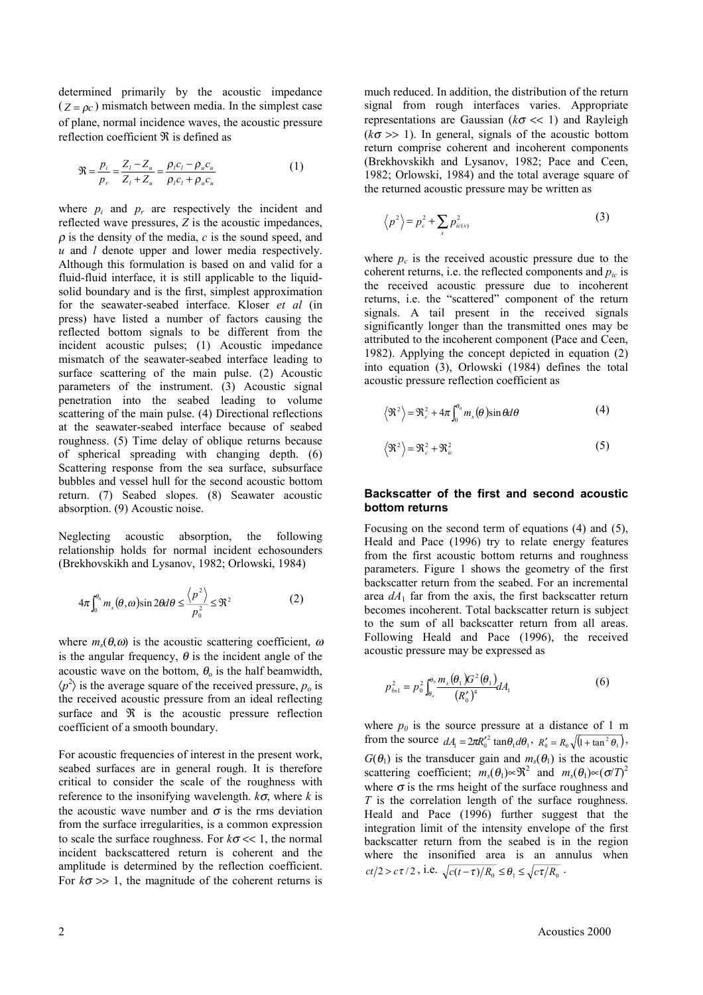determined primarily by the acoustic impedance  $(Z = \rho_c)$  mismatch between media. In the simplest case of plane, normal incidence waves, the acoustic pressure reflection coefficient  $\Re$  is defined as

$$
\mathfrak{R} = \frac{p_i}{p_r} = \frac{Z_i - Z_u}{Z_i + Z_u} = \frac{\rho_i c_i - \rho_u c_u}{\rho_i c_i + \rho_u c_u} \tag{1}
$$

where  $p_i$  and  $p_r$  are respectively the incident and reflected wave pressures, *Z* is the acoustic impedances,  $\rho$  is the density of the media,  $c$  is the sound speed, and *u* and *l* denote upper and lower media respectively. Although this formulation is based on and valid for a fluid-fluid interface, it is still applicable to the liquidsolid boundary and is the first, simplest approximation for the seawater-seabed interface. Kloser *et al* (in press) have listed a number of factors causing the reflected bottom signals to be different from the incident acoustic pulses; (1) Acoustic impedance mismatch of the seawater-seabed interface leading to surface scattering of the main pulse. (2) Acoustic parameters of the instrument. (3) Acoustic signal penetration into the seabed leading to volume scattering of the main pulse. (4) Directional reflections at the seawater-seabed interface because of seabed roughness. (5) Time delay of oblique returns because of spherical spreading with changing depth. (6) Scattering response from the sea surface, subsurface bubbles and vessel hull for the second acoustic bottom return. (7) Seabed slopes. (8) Seawater acoustic absorption. (9) Acoustic noise.

Neglecting acoustic absorption, the following relationship holds for normal incident echosounders (Brekhovskikh and Lysanov, 1982; Orlowski, 1984)

$$
4\pi \int_0^{\theta_0} m_s(\theta, \omega) \sin 2\theta d\theta \le \frac{\langle p^2 \rangle}{p_0^2} \le \Re^2 \tag{2}
$$

where  $m_s(\theta,\omega)$  is the acoustic scattering coefficient,  $\omega$ is the angular frequency,  $\theta$  is the incident angle of the acoustic wave on the bottom,  $\theta_0$  is the half beamwidth,  $\langle p^2 \rangle$  is the average square of the received pressure,  $p_o$  is the received acoustic pressure from an ideal reflecting surface and  $\Re$  is the acoustic pressure reflection coefficient of a smooth boundary.

For acoustic frequencies of interest in the present work, seabed surfaces are in general rough. It is therefore critical to consider the scale of the roughness with reference to the insonifying wavelength. *k*σ, where *k* is the acoustic wave number and  $\sigma$  is the rms deviation from the surface irregularities, is a common expression to scale the surface roughness. For *k*<sup>σ</sup> << 1, the normal incident backscattered return is coherent and the amplitude is determined by the reflection coefficient. For  $k\sigma \gg 1$ , the magnitude of the coherent returns is

much reduced. In addition, the distribution of the return signal from rough interfaces varies. Appropriate representations are Gaussian (*k*<sup>σ</sup> << 1) and Rayleigh  $(k\sigma \gg 1)$ . In general, signals of the acoustic bottom return comprise coherent and incoherent components (Brekhovskikh and Lysanov, 1982; Pace and Ceen, 1982; Orlowski, 1984) and the total average square of the returned acoustic pressure may be written as

$$
\left\langle p^2 \right\rangle = p_c^2 + \sum_s p_{ic(s)}^2 \tag{3}
$$

where  $p_c$  is the received acoustic pressure due to the coherent returns, i.e. the reflected components and *pic* is the received acoustic pressure due to incoherent returns, i.e. the "scattered" component of the return signals. A tail present in the received signals significantly longer than the transmitted ones may be attributed to the incoherent component (Pace and Ceen, 1982). Applying the concept depicted in equation (2) into equation (3), Orlowski (1984) defines the total acoustic pressure reflection coefficient as

$$
\left\langle \mathfrak{R}^2 \right\rangle = \mathfrak{R}_c^2 + 4\pi \int_0^{\theta_0} m_s(\theta) \sin \theta d\theta \tag{4}
$$

$$
\mathfrak{R}^2 = \mathfrak{R}_c^2 + \mathfrak{R}_{ic}^2 \tag{5}
$$

#### **Backscatter of the first and second acoustic bottom returns**

Focusing on the second term of equations (4) and (5), Heald and Pace (1996) try to relate energy features from the first acoustic bottom returns and roughness parameters. Figure 1 shows the geometry of the first backscatter return from the seabed. For an incremental area  $dA_1$  far from the axis, the first backscatter return becomes incoherent. Total backscatter return is subject to the sum of all backscatter return from all areas. Following Heald and Pace (1996), the received acoustic pressure may be expressed as

$$
p_{bs1}^2 = p_0^2 \int_{\theta_a}^{\theta_b} \frac{m_s(\theta_1) G^2(\theta_1)}{(R'_0)^4} dA_1 \tag{6}
$$

where  $p_0$  is the source pressure at a distance of 1 m from the source  $dA_1 = 2\pi R_0^2 \tan\theta_1 d\theta_1$ ,  $R'_0 = R_0 \sqrt{1 + \tan^2 \theta_1}$ ,  $G(\theta_1)$  is the transducer gain and  $m_s(\theta_1)$  is the acoustic scattering coefficient;  $m_s(\theta_1) \propto \mathfrak{R}^2$  and  $m_s(\theta_1) \propto (\sigma/T)^2$ where  $\sigma$  is the rms height of the surface roughness and *T* is the correlation length of the surface roughness. Heald and Pace (1996) further suggest that the integration limit of the intensity envelope of the first backscatter return from the seabed is in the region where the insonified area is an annulus when  $ct/2 > c\tau/2$ , i.e.  $\sqrt{c(t-\tau)/R_0} \leq \theta_1 \leq \sqrt{c\tau/R_0}$ .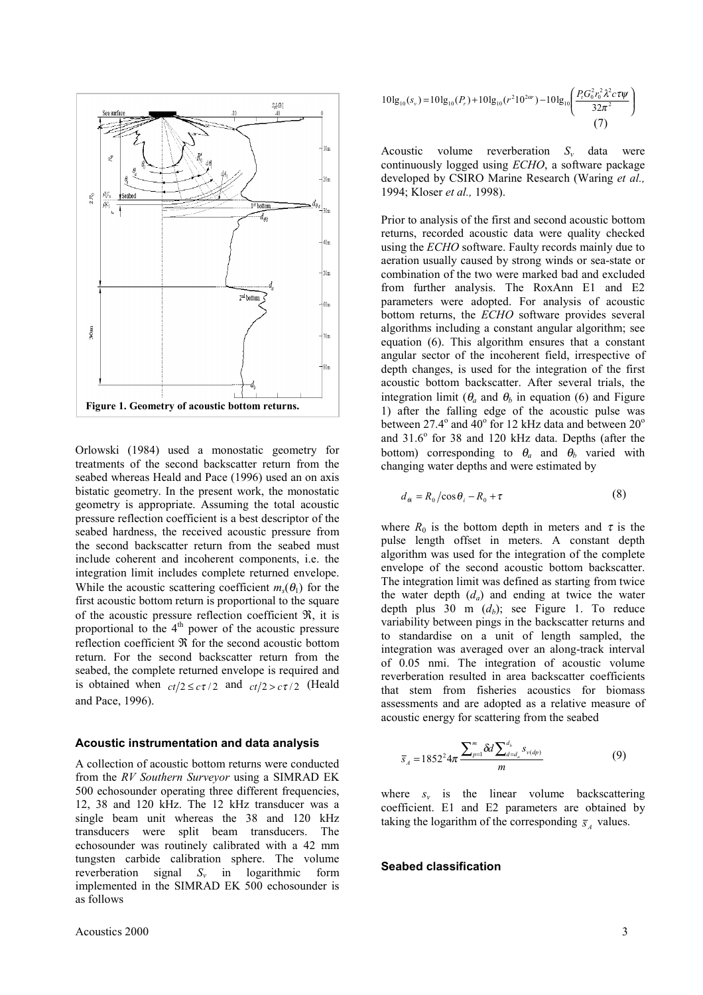

Orlowski (1984) used a monostatic geometry for treatments of the second backscatter return from the seabed whereas Heald and Pace (1996) used an on axis bistatic geometry. In the present work, the monostatic geometry is appropriate. Assuming the total acoustic pressure reflection coefficient is a best descriptor of the seabed hardness, the received acoustic pressure from the second backscatter return from the seabed must include coherent and incoherent components, i.e. the integration limit includes complete returned envelope. While the acoustic scattering coefficient  $m_s(\theta_1)$  for the first acoustic bottom return is proportional to the square of the acoustic pressure reflection coefficient  $\Re$ , it is proportional to the  $4<sup>th</sup>$  power of the acoustic pressure reflection coefficient ℜ for the second acoustic bottom return. For the second backscatter return from the seabed, the complete returned envelope is required and is obtained when  $ct/2 \leq c\tau/2$  and  $ct/2 > c\tau/2$  (Heald and Pace, 1996).

#### **Acoustic instrumentation and data analysis**

A collection of acoustic bottom returns were conducted from the *RV Southern Surveyor* using a SIMRAD EK 500 echosounder operating three different frequencies, 12, 38 and 120 kHz. The 12 kHz transducer was a single beam unit whereas the 38 and 120 kHz transducers were split beam transducers. The echosounder was routinely calibrated with a 42 mm tungsten carbide calibration sphere. The volume reverberation signal *Sv* in logarithmic form implemented in the SIMRAD EK 500 echosounder is as follows

Acoustics 2000 3

$$
10\lg_{10}(s_v) = 10\lg_{10}(P_r) + 10\lg_{10}(r^2 10^{2\alpha}) - 10\lg_{10}\left(\frac{P_r G_0^2 r_0^2 \lambda^2 c \tau \psi}{32\pi^2}\right)
$$
\n(7)

Acoustic volume reverberation  $S_v$  data were continuously logged using *ECHO*, a software package developed by CSIRO Marine Research (Waring *et al.,* 1994; Kloser *et al.,* 1998).

Prior to analysis of the first and second acoustic bottom returns, recorded acoustic data were quality checked using the *ECHO* software. Faulty records mainly due to aeration usually caused by strong winds or sea-state or combination of the two were marked bad and excluded from further analysis. The RoxAnn E1 and E2 parameters were adopted. For analysis of acoustic bottom returns, the *ECHO* software provides several algorithms including a constant angular algorithm; see equation (6). This algorithm ensures that a constant angular sector of the incoherent field, irrespective of depth changes, is used for the integration of the first acoustic bottom backscatter. After several trials, the integration limit ( $\theta_a$  and  $\theta_b$  in equation (6) and Figure 1) after the falling edge of the acoustic pulse was between 27.4 $^{\circ}$  and 40 $^{\circ}$  for 12 kHz data and between 20 $^{\circ}$ and 31.6° for 38 and 120 kHz data. Depths (after the bottom) corresponding to  $\theta_a$  and  $\theta_b$  varied with changing water depths and were estimated by

$$
d_{\theta i} = R_0 / \cos \theta_i - R_0 + \tau \tag{8}
$$

where  $R_0$  is the bottom depth in meters and  $\tau$  is the pulse length offset in meters. A constant depth algorithm was used for the integration of the complete envelope of the second acoustic bottom backscatter. The integration limit was defined as starting from twice the water depth  $(d_a)$  and ending at twice the water depth plus  $30 \text{ m } (d_h)$ ; see Figure 1. To reduce variability between pings in the backscatter returns and to standardise on a unit of length sampled, the integration was averaged over an along-track interval of 0.05 nmi. The integration of acoustic volume reverberation resulted in area backscatter coefficients that stem from fisheries acoustics for biomass assessments and are adopted as a relative measure of acoustic energy for scattering from the seabed

$$
\overline{s}_A = 1852^2 4\pi \frac{\sum_{p=1}^m \delta d \sum_{d=d_a}^{d_b} s_{\nu(dp)}}{m}
$$
(9)

where  $s_v$  is the linear volume backscattering coefficient. E1 and E2 parameters are obtained by taking the logarithm of the corresponding  $\bar{s}$ , values.

#### **Seabed classification**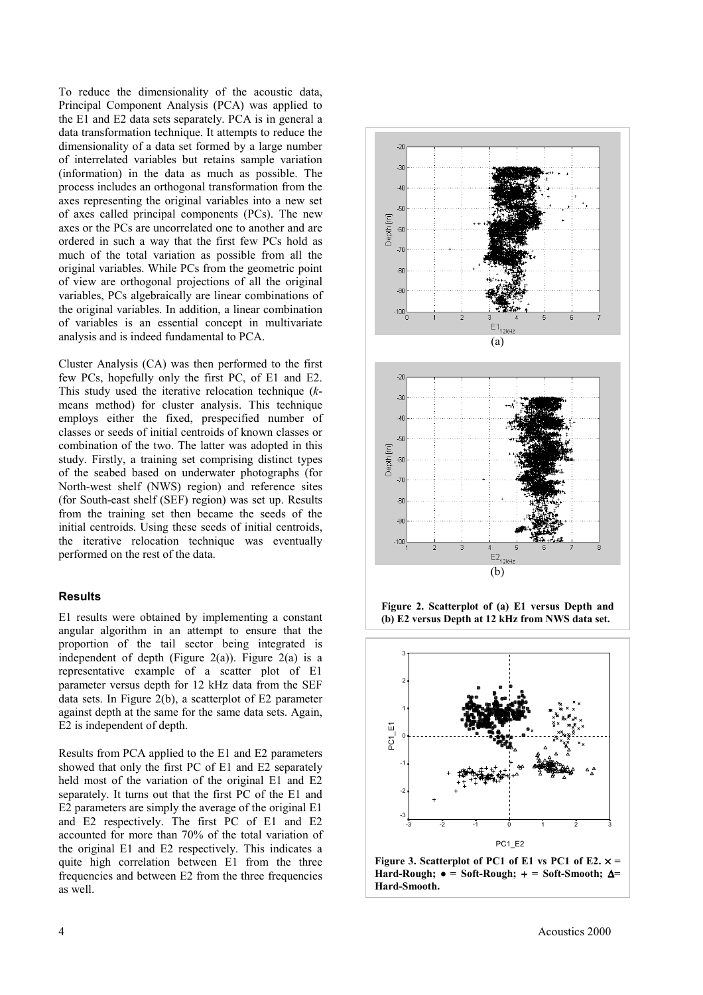To reduce the dimensionality of the acoustic data, Principal Component Analysis (PCA) was applied to the E1 and E2 data sets separately. PCA is in general a data transformation technique. It attempts to reduce the dimensionality of a data set formed by a large number of interrelated variables but retains sample variation (information) in the data as much as possible. The process includes an orthogonal transformation from the axes representing the original variables into a new set of axes called principal components (PCs). The new axes or the PCs are uncorrelated one to another and are ordered in such a way that the first few PCs hold as much of the total variation as possible from all the original variables. While PCs from the geometric point of view are orthogonal projections of all the original variables, PCs algebraically are linear combinations of the original variables. In addition, a linear combination of variables is an essential concept in multivariate analysis and is indeed fundamental to PCA.

Cluster Analysis (CA) was then performed to the first few PCs, hopefully only the first PC, of E1 and E2. This study used the iterative relocation technique (*k*means method) for cluster analysis. This technique employs either the fixed, prespecified number of classes or seeds of initial centroids of known classes or combination of the two. The latter was adopted in this study. Firstly, a training set comprising distinct types of the seabed based on underwater photographs (for North-west shelf (NWS) region) and reference sites (for South-east shelf (SEF) region) was set up. Results from the training set then became the seeds of the initial centroids. Using these seeds of initial centroids, the iterative relocation technique was eventually performed on the rest of the data.

#### **Results**

E1 results were obtained by implementing a constant angular algorithm in an attempt to ensure that the proportion of the tail sector being integrated is independent of depth (Figure 2(a)). Figure 2(a) is a representative example of a scatter plot of E1 parameter versus depth for 12 kHz data from the SEF data sets. In Figure 2(b), a scatterplot of E2 parameter against depth at the same for the same data sets. Again, E2 is independent of depth.

Results from PCA applied to the E1 and E2 parameters showed that only the first PC of E1 and E2 separately held most of the variation of the original E1 and E2 separately. It turns out that the first PC of the E1 and E2 parameters are simply the average of the original E1 and E2 respectively. The first PC of E1 and E2 accounted for more than 70% of the total variation of the original E1 and E2 respectively. This indicates a quite high correlation between E1 from the three frequencies and between E2 from the three frequencies as well.







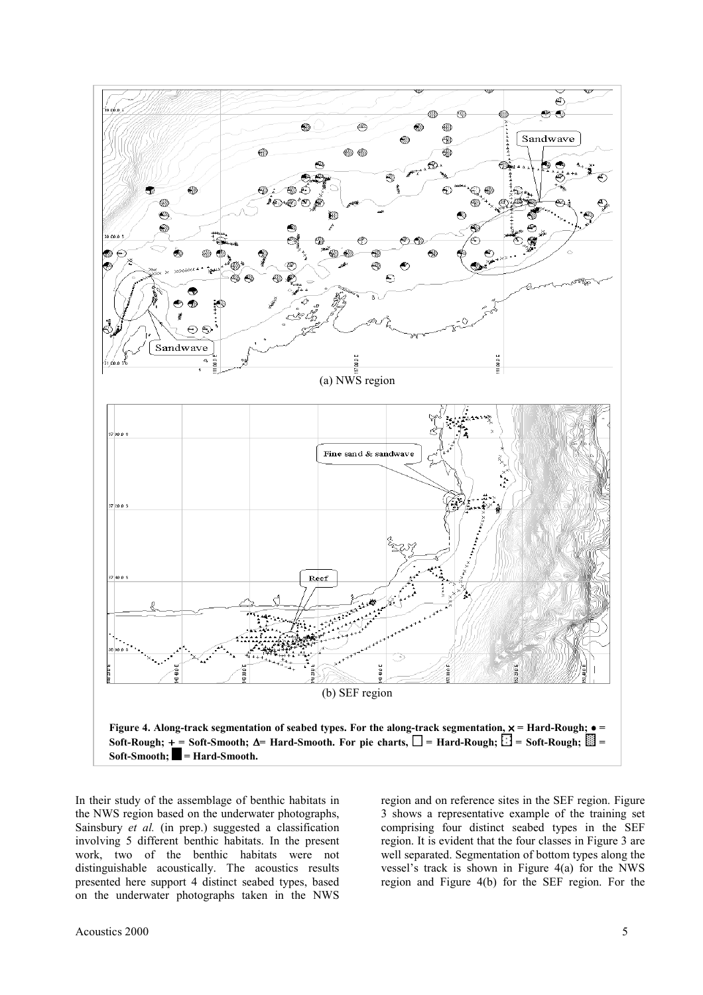

In their study of the assemblage of benthic habitats in the NWS region based on the underwater photographs, Sainsbury *et al.* (in prep.) suggested a classification involving 5 different benthic habitats. In the present work, two of the benthic habitats were not distinguishable acoustically. The acoustics results presented here support 4 distinct seabed types, based on the underwater photographs taken in the NWS

region and on reference sites in the SEF region. Figure 3 shows a representative example of the training set comprising four distinct seabed types in the SEF region. It is evident that the four classes in Figure 3 are well separated. Segmentation of bottom types along the vessel's track is shown in Figure 4(a) for the NWS region and Figure 4(b) for the SEF region. For the